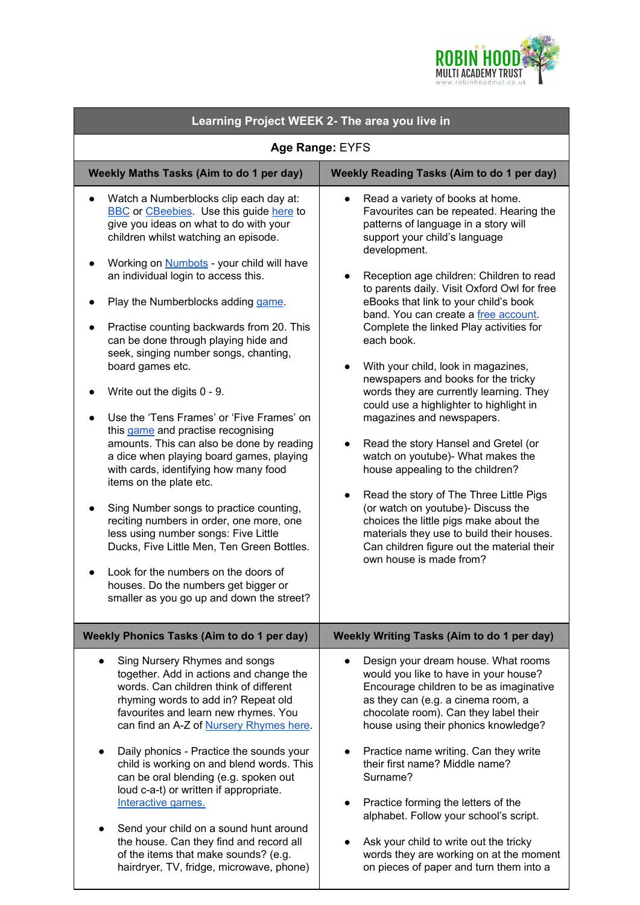

| Learning Project WEEK 2- The area you live in                                                                                                                                                                                                                                                                                                                                                                                                                                                                                                                                                                                                                                                                                                                                                                                                                                                                                                                                                                                                                  |                                                                                                                                                                                                                                                                                                                                                                                                                                                                                                                                                                                                                                                                                                                                                                                                                                                                                                                                                                              |
|----------------------------------------------------------------------------------------------------------------------------------------------------------------------------------------------------------------------------------------------------------------------------------------------------------------------------------------------------------------------------------------------------------------------------------------------------------------------------------------------------------------------------------------------------------------------------------------------------------------------------------------------------------------------------------------------------------------------------------------------------------------------------------------------------------------------------------------------------------------------------------------------------------------------------------------------------------------------------------------------------------------------------------------------------------------|------------------------------------------------------------------------------------------------------------------------------------------------------------------------------------------------------------------------------------------------------------------------------------------------------------------------------------------------------------------------------------------------------------------------------------------------------------------------------------------------------------------------------------------------------------------------------------------------------------------------------------------------------------------------------------------------------------------------------------------------------------------------------------------------------------------------------------------------------------------------------------------------------------------------------------------------------------------------------|
| Age Range: EYFS                                                                                                                                                                                                                                                                                                                                                                                                                                                                                                                                                                                                                                                                                                                                                                                                                                                                                                                                                                                                                                                |                                                                                                                                                                                                                                                                                                                                                                                                                                                                                                                                                                                                                                                                                                                                                                                                                                                                                                                                                                              |
| Weekly Maths Tasks (Aim to do 1 per day)                                                                                                                                                                                                                                                                                                                                                                                                                                                                                                                                                                                                                                                                                                                                                                                                                                                                                                                                                                                                                       | <b>Weekly Reading Tasks (Aim to do 1 per day)</b>                                                                                                                                                                                                                                                                                                                                                                                                                                                                                                                                                                                                                                                                                                                                                                                                                                                                                                                            |
| Watch a Numberblocks clip each day at:<br><b>BBC</b> or <b>CBeebies</b> . Use this guide here to<br>give you ideas on what to do with your<br>children whilst watching an episode.<br>Working on <b>Numbots</b> - your child will have<br>an individual login to access this.<br>Play the Numberblocks adding game.<br>Practise counting backwards from 20. This<br>can be done through playing hide and<br>seek, singing number songs, chanting,<br>board games etc.<br>Write out the digits 0 - 9.<br>Use the 'Tens Frames' or 'Five Frames' on<br>this game and practise recognising<br>amounts. This can also be done by reading<br>a dice when playing board games, playing<br>with cards, identifying how many food<br>items on the plate etc.<br>Sing Number songs to practice counting,<br>reciting numbers in order, one more, one<br>less using number songs: Five Little<br>Ducks, Five Little Men, Ten Green Bottles.<br>Look for the numbers on the doors of<br>houses. Do the numbers get bigger or<br>smaller as you go up and down the street? | Read a variety of books at home.<br>Favourites can be repeated. Hearing the<br>patterns of language in a story will<br>support your child's language<br>development.<br>Reception age children: Children to read<br>to parents daily. Visit Oxford Owl for free<br>eBooks that link to your child's book<br>band. You can create a free account.<br>Complete the linked Play activities for<br>each book.<br>With your child, look in magazines,<br>newspapers and books for the tricky<br>words they are currently learning. They<br>could use a highlighter to highlight in<br>magazines and newspapers.<br>Read the story Hansel and Gretel (or<br>watch on youtube)- What makes the<br>house appealing to the children?<br>Read the story of The Three Little Pigs<br>(or watch on youtube)- Discuss the<br>choices the little pigs make about the<br>materials they use to build their houses.<br>Can children figure out the material their<br>own house is made from? |
| <b>Weekly Phonics Tasks (Aim to do 1 per day)</b>                                                                                                                                                                                                                                                                                                                                                                                                                                                                                                                                                                                                                                                                                                                                                                                                                                                                                                                                                                                                              | Weekly Writing Tasks (Aim to do 1 per day)                                                                                                                                                                                                                                                                                                                                                                                                                                                                                                                                                                                                                                                                                                                                                                                                                                                                                                                                   |
| Sing Nursery Rhymes and songs<br>together. Add in actions and change the<br>words. Can children think of different<br>rhyming words to add in? Repeat old<br>favourites and learn new rhymes. You<br>can find an A-Z of Nursery Rhymes here.                                                                                                                                                                                                                                                                                                                                                                                                                                                                                                                                                                                                                                                                                                                                                                                                                   | Design your dream house. What rooms<br>would you like to have in your house?<br>Encourage children to be as imaginative<br>as they can (e.g. a cinema room, a<br>chocolate room). Can they label their<br>house using their phonics knowledge?                                                                                                                                                                                                                                                                                                                                                                                                                                                                                                                                                                                                                                                                                                                               |
| Daily phonics - Practice the sounds your<br>$\bullet$<br>child is working on and blend words. This<br>can be oral blending (e.g. spoken out<br>loud c-a-t) or written if appropriate.<br>Interactive games.<br>Send your child on a sound hunt around<br>the house. Can they find and record all<br>of the items that make sounds? (e.g.<br>hairdryer, TV, fridge, microwave, phone)                                                                                                                                                                                                                                                                                                                                                                                                                                                                                                                                                                                                                                                                           | Practice name writing. Can they write<br>their first name? Middle name?<br>Surname?<br>Practice forming the letters of the<br>alphabet. Follow your school's script.<br>Ask your child to write out the tricky<br>words they are working on at the moment<br>on pieces of paper and turn them into a                                                                                                                                                                                                                                                                                                                                                                                                                                                                                                                                                                                                                                                                         |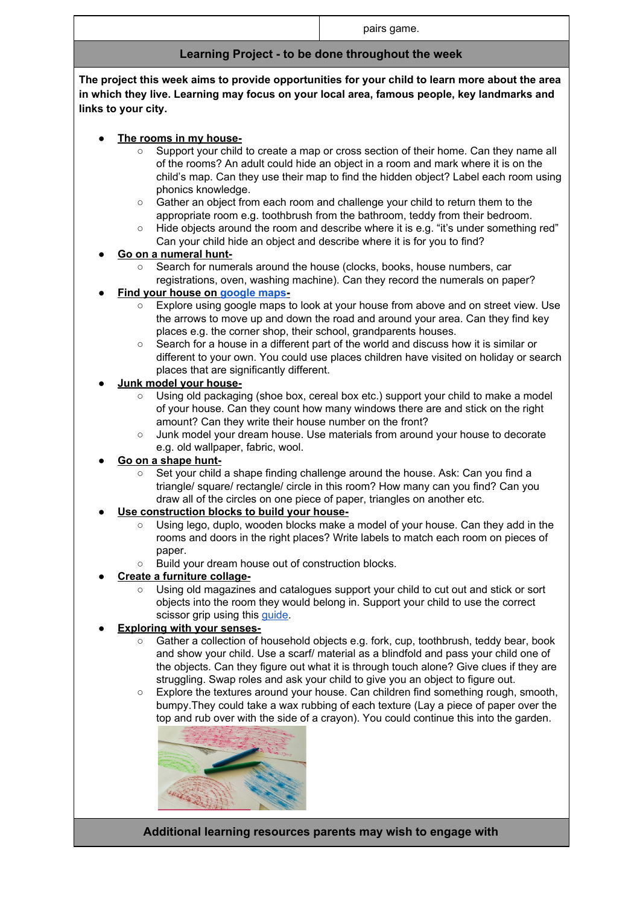pairs game. **Learning Project - to be done throughout the week The project this week aims to provide opportunities for your child to learn more about the area in which they live. Learning may focus on your local area, famous people, key landmarks and links to your city.** ● **The rooms in my house-** ○ Support your child to create a map or cross section of their home. Can they name all of the rooms? An adult could hide an object in a room and mark where it is on the child's map. Can they use their map to find the hidden object? Label each room using phonics knowledge. ○ Gather an object from each room and challenge your child to return them to the appropriate room e.g. toothbrush from the bathroom, teddy from their bedroom. ○ Hide objects around the room and describe where it is e.g. "it's under something red" Can your child hide an object and describe where it is for you to find? **● Go on a numeral hunt- ○** Search for numerals around the house (clocks, books, house numbers, car registrations, oven, washing machine). Can they record the numerals on paper? ● **Find your house on [google](https://www.google.com/maps) maps-** ○ Explore using google maps to look at your house from above and on street view. Use the arrows to move up and down the road and around your area. Can they find key places e.g. the corner shop, their school, grandparents houses. ○ Search for a house in a different part of the world and discuss how it is similar or different to your own. You could use places children have visited on holiday or search places that are significantly different. **● Junk model your house-** Using old packaging (shoe box, cereal box etc.) support your child to make a model of your house. Can they count how many windows there are and stick on the right amount? Can they write their house number on the front? ○ Junk model your dream house. Use materials from around your house to decorate e.g. old wallpaper, fabric, wool. **● Go on a shape hunt-** Set your child a shape finding challenge around the house. Ask: Can you find a triangle/ square/ rectangle/ circle in this room? How many can you find? Can you draw all of the circles on one piece of paper, triangles on another etc. **● Use construction blocks to build your house-**

- Using lego, duplo, wooden blocks make a model of your house. Can they add in the
- rooms and doors in the right places? Write labels to match each room on pieces of paper.
- Build your dream house out of construction blocks.

## **● Create a furniture collage-**

Using old magazines and catalogues support your child to cut out and stick or sort objects into the room they would belong in. Support your child to use the correct scissor grip using this quide.

## **● Exploring with your senses-**

- Gather a collection of household objects e.g. fork, cup, toothbrush, teddy bear, book and show your child. Use a scarf/ material as a blindfold and pass your child one of the objects. Can they figure out what it is through touch alone? Give clues if they are struggling. Swap roles and ask your child to give you an object to figure out.
- Explore the textures around your house. Can children find something rough, smooth, bumpy.They could take a wax rubbing of each texture (Lay a piece of paper over the top and rub over with the side of a crayon). You could continue this into the garden.



## **Additional learning resources parents may wish to engage with**